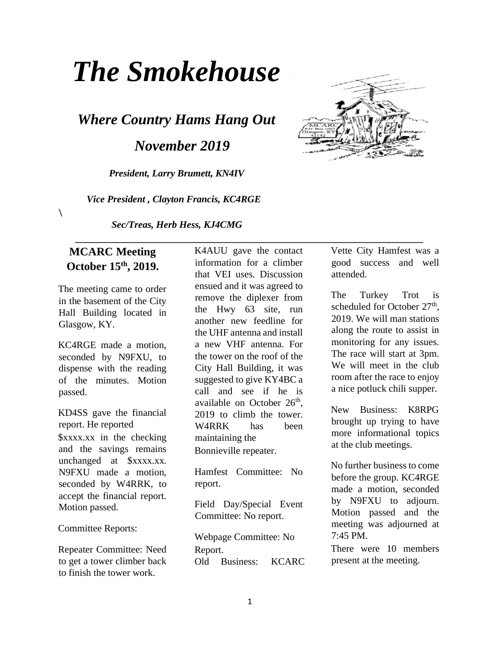# *The Smokehouse*

*Where Country Hams Hang Out* 

 *November 2019* 

*President, Larry Brumett, KN4IV* 

 *Vice President , Clayton Francis, KC4RGE* 

*Sec/Treas, Herb Hess, KJ4CMG* 

#### **MCARC Meeting October 15th, 2019.**

 $\setminus$ 

The meeting came to order in the basement of the City Hall Building located in Glasgow, KY.

KC4RGE made a motion, seconded by N9FXU, to dispense with the reading of the minutes. Motion passed.

KD4SS gave the financial report. He reported \$xxxx.xx in the checking and the savings remains unchanged at \$xxxx.xx. N9FXU made a motion, seconded by W4RRK, to accept the financial report. Motion passed.

Committee Reports:

Repeater Committee: Need to get a tower climber back to finish the tower work.

K4AUU gave the contact information for a climber that VEI uses. Discussion ensued and it was agreed to remove the diplexer from the Hwy 63 site, run another new feedline for the UHF antenna and install a new VHF antenna. For the tower on the roof of the City Hall Building, it was suggested to give KY4BC a call and see if he is available on October  $26<sup>th</sup>$ , 2019 to climb the tower. W4RRK has been maintaining the Bonnieville repeater.

Hamfest Committee: No report.

Field Day/Special Event Committee: No report.

Webpage Committee: No Report. Old Business: KCARC Vette City Hamfest was a good success and well attended.

The Turkey Trot is scheduled for October 27<sup>th</sup>, 2019. We will man stations along the route to assist in monitoring for any issues. The race will start at 3pm. We will meet in the club room after the race to enjoy a nice potluck chili supper.

New Business: K8RPG brought up trying to have more informational topics at the club meetings.

No further business to come before the group. KC4RGE made a motion, seconded by N9FXU to adjourn. Motion passed and the meeting was adjourned at 7:45 PM.

There were 10 members present at the meeting.

 **\_\_\_\_\_\_\_\_\_\_\_\_\_\_\_\_\_\_\_\_\_\_\_\_\_\_\_\_\_\_\_\_\_\_\_\_\_\_\_\_\_\_\_\_\_\_\_\_\_\_\_\_\_\_\_\_\_\_\_\_\_\_\_\_\_\_\_\_\_\_\_** 

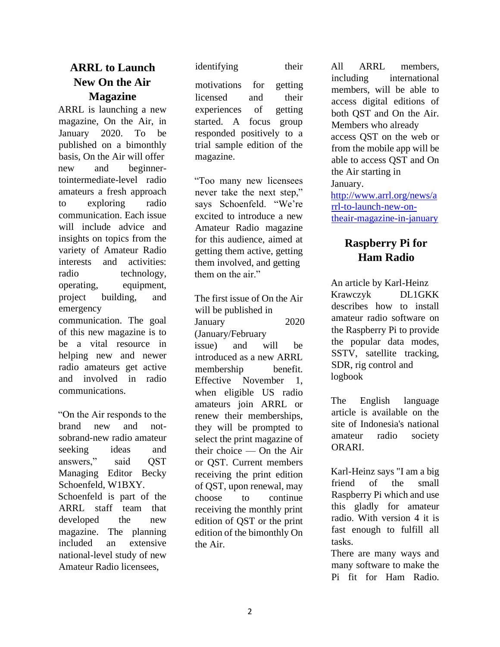## **ARRL to Launch New On the Air Magazine**

ARRL is launching a new magazine, On the Air, in January 2020. To be published on a bimonthly basis, On the Air will offer new and beginnertointermediate-level radio amateurs a fresh approach to exploring radio communication. Each issue will include advice and insights on topics from the variety of Amateur Radio interests and activities: radio technology, operating, equipment, project building, and emergency communication. The goal

of this new magazine is to be a vital resource in helping new and newer radio amateurs get active and involved in radio communications.

"On the Air responds to the brand new and notsobrand-new radio amateur seeking ideas and answers," said QST Managing Editor Becky Schoenfeld, W1BXY. Schoenfeld is part of the ARRL staff team that developed the new magazine. The planning included an extensive national-level study of new Amateur Radio licensees,

identifying their

motivations for getting licensed and their experiences of getting started. A focus group responded positively to a trial sample edition of the magazine.

"Too many new licensees never take the next step," says Schoenfeld. "We're excited to introduce a new Amateur Radio magazine for this audience, aimed at getting them active, getting them involved, and getting them on the air."

The first issue of On the Air will be published in January 2020 (January/February issue) and will be introduced as a new ARRL membership benefit. Effective November 1, when eligible US radio amateurs join ARRL or renew their memberships, they will be prompted to select the print magazine of their choice — On the Air or QST. Current members receiving the print edition of QST, upon renewal, may choose to continue receiving the monthly print edition of QST or the print edition of the bimonthly On the Air.

All ARRL members, including international members, will be able to access digital editions of both QST and On the Air. Members who already access QST on the web or from the mobile app will be able to access QST and On the Air starting in January. http://www.arrl.org/news/a rrl-to-launch-new-ontheair-magazine-in-january

## **Raspberry Pi for Ham Radio**

An article by Karl-Heinz Krawczyk DL1GKK describes how to install amateur radio software on the Raspberry Pi to provide the popular data modes, SSTV, satellite tracking, SDR, rig control and logbook

The English language article is available on the site of Indonesia's national amateur radio society ORARI.

Karl-Heinz says "I am a big friend of the small Raspberry Pi which and use this gladly for amateur radio. With version 4 it is fast enough to fulfill all tasks.

There are many ways and many software to make the Pi fit for Ham Radio.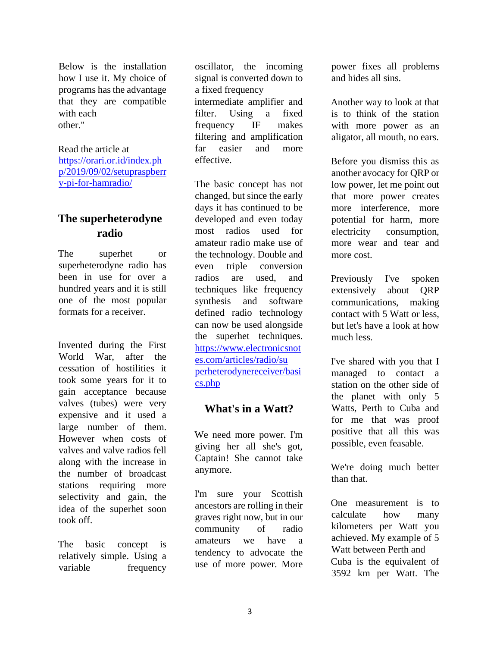Below is the installation how I use it. My choice of programs has the advantage that they are compatible with each other."

Read the article at https://orari.or.id/index.ph p/2019/09/02/setupraspberr y-pi-for-hamradio/

### **The superheterodyne radio**

The superhet or superheterodyne radio has been in use for over a hundred years and it is still one of the most popular formats for a receiver.

Invented during the First World War, after the cessation of hostilities it took some years for it to gain acceptance because valves (tubes) were very expensive and it used a large number of them. However when costs of valves and valve radios fell along with the increase in the number of broadcast stations requiring more selectivity and gain, the idea of the superhet soon took off.

The basic concept is relatively simple. Using a variable frequency

oscillator, the incoming signal is converted down to a fixed frequency intermediate amplifier and filter. Using a fixed frequency IF makes filtering and amplification far easier and more effective.

The basic concept has not changed, but since the early days it has continued to be developed and even today most radios used for amateur radio make use of the technology. Double and even triple conversion radios are used, and techniques like frequency synthesis and software defined radio technology can now be used alongside the superhet techniques. https://www.electronicsnot es.com/articles/radio/su perheterodynereceiver/basi cs.php

#### **What's in a Watt?**

We need more power. I'm giving her all she's got, Captain! She cannot take anymore.

I'm sure your Scottish ancestors are rolling in their graves right now, but in our community of radio amateurs we have a tendency to advocate the use of more power. More

power fixes all problems and hides all sins.

Another way to look at that is to think of the station with more power as an aligator, all mouth, no ears.

Before you dismiss this as another avocacy for QRP or low power, let me point out that more power creates more interference, more potential for harm, more electricity consumption, more wear and tear and more cost.

Previously I've spoken extensively about QRP communications, making contact with 5 Watt or less, but let's have a look at how much less.

I've shared with you that I managed to contact a station on the other side of the planet with only 5 Watts, Perth to Cuba and for me that was proof positive that all this was possible, even feasable.

We're doing much better than that.

One measurement is to calculate how many kilometers per Watt you achieved. My example of 5 Watt between Perth and Cuba is the equivalent of 3592 km per Watt. The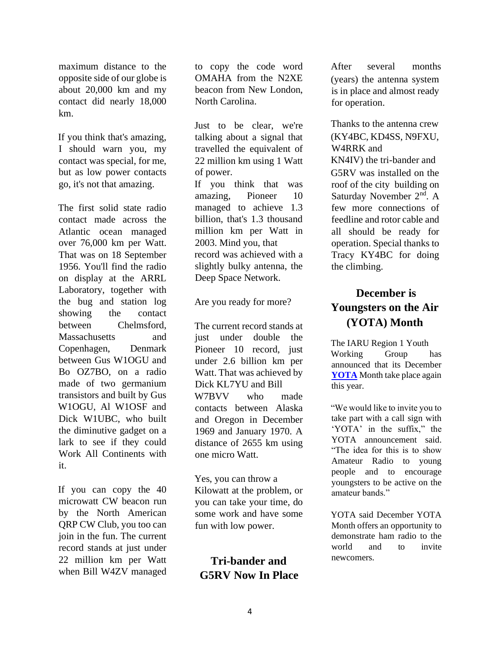maximum distance to the opposite side of our globe is about 20,000 km and my contact did nearly 18,000 km.

If you think that's amazing, I should warn you, my contact was special, for me, but as low power contacts go, it's not that amazing.

The first solid state radio contact made across the Atlantic ocean managed over 76,000 km per Watt. That was on 18 September 1956. You'll find the radio on display at the ARRL Laboratory, together with the bug and station log showing the contact between Chelmsford, Massachusetts and Copenhagen, Denmark between Gus W1OGU and Bo OZ7BO, on a radio made of two germanium transistors and built by Gus W1OGU, Al W1OSF and Dick W1UBC, who built the diminutive gadget on a lark to see if they could Work All Continents with it.

If you can copy the 40 microwatt CW beacon run by the North American QRP CW Club, you too can join in the fun. The current record stands at just under 22 million km per Watt when Bill W4ZV managed

to copy the code word OMAHA from the N2XE beacon from New London, North Carolina.

Just to be clear, we're talking about a signal that travelled the equivalent of 22 million km using 1 Watt of power.

If you think that was amazing, Pioneer 10 managed to achieve 1.3 billion, that's 1.3 thousand million km per Watt in 2003. Mind you, that record was achieved with a slightly bulky antenna, the Deep Space Network.

Are you ready for more?

The current record stands at just under double the Pioneer 10 record, just under 2.6 billion km per Watt. That was achieved by Dick KL7YU and Bill W7BVV who made contacts between Alaska and Oregon in December 1969 and January 1970. A distance of 2655 km using one micro Watt.

Yes, you can throw a Kilowatt at the problem, or you can take your time, do some work and have some fun with low power.

## **Tri-bander and G5RV Now In Place**

After several months (years) the antenna system is in place and almost ready for operation.

Thanks to the antenna crew (KY4BC, KD4SS, N9FXU, W4RRK and KN4IV) the tri-bander and G5RV was installed on the roof of the city building on Saturday November 2<sup>nd</sup>. A few more connections of feedline and rotor cable and all should be ready for operation. Special thanks to Tracy KY4BC for doing the climbing.

# **December is Youngsters on the Air (YOTA) Month**

The IARU Region 1 Youth Working Group has announced that its December **YOTA** Month take place again this year.

"We would like to invite you to take part with a call sign with 'YOTA' in the suffix," the YOTA announcement said. "The idea for this is to show Amateur Radio to young people and to encourage youngsters to be active on the amateur bands."

YOTA said December YOTA Month offers an opportunity to demonstrate ham radio to the world and to invite newcomers.